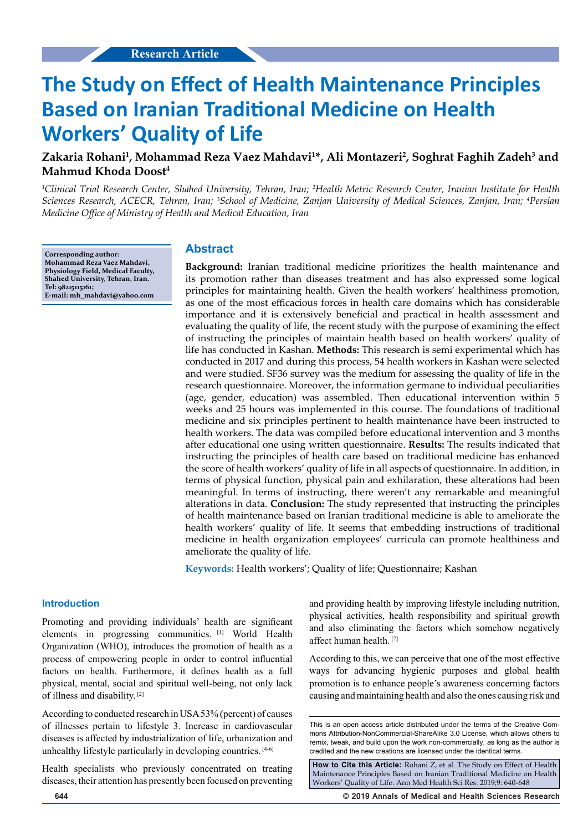# **The Study on Effect of Health Maintenance Principles Based on Iranian Traditional Medicine on Health Workers' Quality of Life**

# **Zakaria Rohani1 , Mohammad Reza Vaez Mahdavi1 \*, Ali Montazeri2 , Soghrat Faghih Zadeh3 and Mahmud Khoda Doost4**

<sup>1</sup>Clinical Trial Research Center, Shahed University, Tehran, Iran; <sup>2</sup>Health Metric Research Center, Iranian Institute for Health *Sciences Research, ACECR, Tehran, Iran; 3 School of Medicine, Zanjan University of Medical Sciences, Zanjan, Iran; 4 Persian Medicine Office of Ministry of Health and Medical Education, Iran*

**Corresponding author: Mohammad Reza Vaez Mahdavi, Physiology Field, Medical Faculty, Shahed University, Tehran, Iran. Tel: 98215115161; E-mail: [mh\\_mahdavi@yahoo.com](mailto:mh_mahdavi@yahoo.com)**

#### **Abstract**

**Background:** Iranian traditional medicine prioritizes the health maintenance and its promotion rather than diseases treatment and has also expressed some logical principles for maintaining health. Given the health workers' healthiness promotion, as one of the most efficacious forces in health care domains which has considerable importance and it is extensively beneficial and practical in health assessment and evaluating the quality of life, the recent study with the purpose of examining the effect of instructing the principles of maintain health based on health workers' quality of life has conducted in Kashan. **Methods:** This research is semi experimental which has conducted in 2017 and during this process, 54 health workers in Kashan were selected and were studied. SF36 survey was the medium for assessing the quality of life in the research questionnaire. Moreover, the information germane to individual peculiarities (age, gender, education) was assembled. Then educational intervention within 5 weeks and 25 hours was implemented in this course. The foundations of traditional medicine and six principles pertinent to health maintenance have been instructed to health workers. The data was compiled before educational intervention and 3 months after educational one using written questionnaire. **Results:** The results indicated that instructing the principles of health care based on traditional medicine has enhanced the score of health workers' quality of life in all aspects of questionnaire. In addition, in terms of physical function, physical pain and exhilaration, these alterations had been meaningful. In terms of instructing, there weren't any remarkable and meaningful alterations in data. **Conclusion:** The study represented that instructing the principles of health maintenance based on Iranian traditional medicine is able to ameliorate the health workers' quality of life. It seems that embedding instructions of traditional medicine in health organization employees' curricula can promote healthiness and ameliorate the quality of life.

**Keywords:** Health workers'; Quality of life; Questionnaire; Kashan

#### **Introduction**

Promoting and providing individuals' health are significant elements in progressing communities. [1] World Health Organization (WHO), introduces the promotion of health as a process of empowering people in order to control influential factors on health. Furthermore, it defines health as a full physical, mental, social and spiritual well-being, not only lack of illness and disability. [2]

According to conducted research in USA 53% (percent) of causes of illnesses pertain to lifestyle 3. Increase in cardiovascular diseases is affected by industrialization of life, urbanization and unhealthy lifestyle particularly in developing countries. [4-6]

Health specialists who previously concentrated on treating diseases, their attention has presently been focused on preventing

and providing health by improving lifestyle including nutrition, physical activities, health responsibility and spiritual growth and also eliminating the factors which somehow negatively affect human health. [7]

According to this, we can perceive that one of the most effective ways for advancing hygienic purposes and global health promotion is to enhance people's awareness concerning factors causing and maintaining health and also the ones causing risk and

**How to Cite this Article:** Rohani Z, et al. The Study on Effect of Health Maintenance Principles Based on Iranian Traditional Medicine on Health Workers' Quality of Life. Ann Med Health Sci Res. 2019;9: 640-648

**644 © 2019 Annals of Medical and Health Sciences Research** 

This is an open access article distributed under the terms of the Creative Commons Attribution-NonCommercial-ShareAlike 3.0 License, which allows others to remix, tweak, and build upon the work non‑commercially, as long as the author is credited and the new creations are licensed under the identical terms.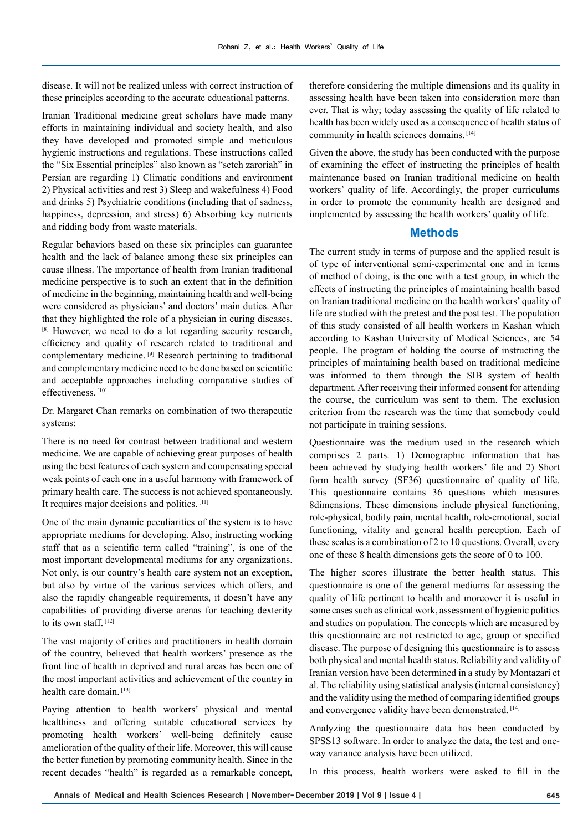disease. It will not be realized unless with correct instruction of these principles according to the accurate educational patterns.

Iranian Traditional medicine great scholars have made many efforts in maintaining individual and society health, and also they have developed and promoted simple and meticulous hygienic instructions and regulations. These instructions called the "Six Essential principles" also known as "seteh zaroriah" in Persian are regarding 1) Climatic conditions and environment 2) Physical activities and rest 3) Sleep and wakefulness 4) Food and drinks 5) Psychiatric conditions (including that of sadness, happiness, depression, and stress) 6) Absorbing key nutrients and ridding body from waste materials.

Regular behaviors based on these six principles can guarantee health and the lack of balance among these six principles can cause illness. The importance of health from Iranian traditional medicine perspective is to such an extent that in the definition of medicine in the beginning, maintaining health and well-being were considered as physicians' and doctors' main duties. After that they highlighted the role of a physician in curing diseases. <sup>[8]</sup> However, we need to do a lot regarding security research, efficiency and quality of research related to traditional and complementary medicine. [9] Research pertaining to traditional and complementary medicine need to be done based on scientific and acceptable approaches including comparative studies of effectiveness. [10]

Dr. Margaret Chan remarks on combination of two therapeutic systems:

There is no need for contrast between traditional and western medicine. We are capable of achieving great purposes of health using the best features of each system and compensating special weak points of each one in a useful harmony with framework of primary health care. The success is not achieved spontaneously. It requires major decisions and politics. [11]

One of the main dynamic peculiarities of the system is to have appropriate mediums for developing. Also, instructing working staff that as a scientific term called "training", is one of the most important developmental mediums for any organizations. Not only, is our country's health care system not an exception, but also by virtue of the various services which offers, and also the rapidly changeable requirements, it doesn't have any capabilities of providing diverse arenas for teaching dexterity to its own staff. [12]

The vast majority of critics and practitioners in health domain of the country, believed that health workers' presence as the front line of health in deprived and rural areas has been one of the most important activities and achievement of the country in health care domain. [13]

Paying attention to health workers' physical and mental healthiness and offering suitable educational services by promoting health workers' well-being definitely cause amelioration of the quality of their life. Moreover, this will cause the better function by promoting community health. Since in the recent decades "health" is regarded as a remarkable concept,

therefore considering the multiple dimensions and its quality in assessing health have been taken into consideration more than ever. That is why; today assessing the quality of life related to health has been widely used as a consequence of health status of community in health sciences domains. [14]

Given the above, the study has been conducted with the purpose of examining the effect of instructing the principles of health maintenance based on Iranian traditional medicine on health workers' quality of life. Accordingly, the proper curriculums in order to promote the community health are designed and implemented by assessing the health workers' quality of life.

## **Methods**

The current study in terms of purpose and the applied result is of type of interventional semi-experimental one and in terms of method of doing, is the one with a test group, in which the effects of instructing the principles of maintaining health based on Iranian traditional medicine on the health workers' quality of life are studied with the pretest and the post test. The population of this study consisted of all health workers in Kashan which according to Kashan University of Medical Sciences, are 54 people. The program of holding the course of instructing the principles of maintaining health based on traditional medicine was informed to them through the SIB system of health department. After receiving their informed consent for attending the course, the curriculum was sent to them. The exclusion criterion from the research was the time that somebody could not participate in training sessions.

Questionnaire was the medium used in the research which comprises 2 parts. 1) Demographic information that has been achieved by studying health workers' file and 2) Short form health survey (SF36) questionnaire of quality of life. This questionnaire contains 36 questions which measures 8dimensions. These dimensions include physical functioning, role-physical, bodily pain, mental health, role-emotional, social functioning, vitality and general health perception. Each of these scales is a combination of 2 to 10 questions. Overall, every one of these 8 health dimensions gets the score of 0 to 100.

The higher scores illustrate the better health status. This questionnaire is one of the general mediums for assessing the quality of life pertinent to health and moreover it is useful in some cases such as clinical work, assessment of hygienic politics and studies on population. The concepts which are measured by this questionnaire are not restricted to age, group or specified disease. The purpose of designing this questionnaire is to assess both physical and mental health status. Reliability and validity of Iranian version have been determined in a study by Montazari et al. The reliability using statistical analysis (internal consistency) and the validity using the method of comparing identified groups and convergence validity have been demonstrated. [14]

Analyzing the questionnaire data has been conducted by SPSS13 software. In order to analyze the data, the test and oneway variance analysis have been utilized.

In this process, health workers were asked to fill in the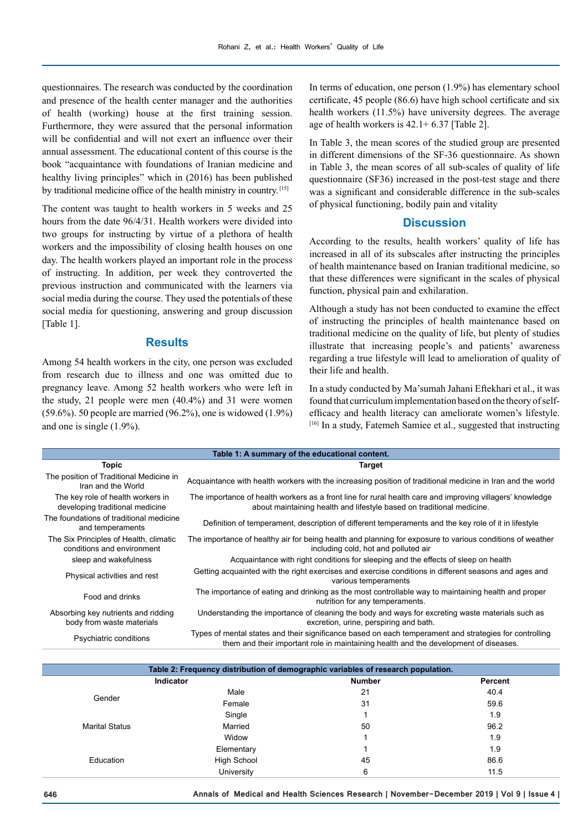questionnaires. The research was conducted by the coordination and presence of the health center manager and the authorities of health (working) house at the first training session. Furthermore, they were assured that the personal information will be confidential and will not exert an influence over their annual assessment. The educational content of this course is the book "acquaintance with foundations of Iranian medicine and healthy living principles" which in (2016) has been published by traditional medicine office of the health ministry in country. [15]

The content was taught to health workers in 5 weeks and 25 hours from the date 96/4/31. Health workers were divided into two groups for instructing by virtue of a plethora of health workers and the impossibility of closing health houses on one day. The health workers played an important role in the process of instructing. In addition, per week they controverted the previous instruction and communicated with the learners via social media during the course. They used the potentials of these social media for questioning, answering and group discussion [Table 1].

# **Results**

Among 54 health workers in the city, one person was excluded from research due to illness and one was omitted due to pregnancy leave. Among 52 health workers who were left in the study, 21 people were men (40.4%) and 31 were women (59.6%). 50 people are married (96.2%), one is widowed (1.9%) and one is single (1.9%).

In terms of education, one person (1.9%) has elementary school certificate, 45 people (86.6) have high school certificate and six health workers (11.5%) have university degrees. The average age of health workers is 42.1+ 6.37 [Table 2].

In Table 3, the mean scores of the studied group are presented in different dimensions of the SF-36 questionnaire. As shown in Table 3, the mean scores of all sub-scales of quality of life questionnaire (SF36) increased in the post-test stage and there was a significant and considerable difference in the sub-scales of physical functioning, bodily pain and vitality

# **Discussion**

According to the results, health workers' quality of life has increased in all of its subscales after instructing the principles of health maintenance based on Iranian traditional medicine, so that these differences were significant in the scales of physical function, physical pain and exhilaration.

Although a study has not been conducted to examine the effect of instructing the principles of health maintenance based on traditional medicine on the quality of life, but plenty of studies illustrate that increasing people's and patients' awareness regarding a true lifestyle will lead to amelioration of quality of their life and health.

In a study conducted by Ma'sumah Jahani Eftekhari et al., it was found that curriculum implementation based on the theory of selfefficacy and health literacy can ameliorate women's lifestyle. [16] In a study, Fatemeh Samiee et al., suggested that instructing

| Table 1: A summary of the educational content.                       |                                                                                                                                                                                                |  |  |  |  |
|----------------------------------------------------------------------|------------------------------------------------------------------------------------------------------------------------------------------------------------------------------------------------|--|--|--|--|
| <b>Topic</b>                                                         | Target                                                                                                                                                                                         |  |  |  |  |
| The position of Traditional Medicine in<br>Iran and the World        | Acquaintance with health workers with the increasing position of traditional medicine in Iran and the world                                                                                    |  |  |  |  |
| The key role of health workers in<br>developing traditional medicine | The importance of health workers as a front line for rural health care and improving villagers' knowledge<br>about maintaining health and lifestyle based on traditional medicine.             |  |  |  |  |
| The foundations of traditional medicine<br>and temperaments          | Definition of temperament, description of different temperaments and the key role of it in lifestyle                                                                                           |  |  |  |  |
| The Six Principles of Health, climatic<br>conditions and environment | The importance of healthy air for being health and planning for exposure to various conditions of weather<br>including cold, hot and polluted air                                              |  |  |  |  |
| sleep and wakefulness                                                | Acquaintance with right conditions for sleeping and the effects of sleep on health                                                                                                             |  |  |  |  |
| Physical activities and rest                                         | Getting acquainted with the right exercises and exercise conditions in different seasons and ages and<br>various temperaments                                                                  |  |  |  |  |
| Food and drinks                                                      | The importance of eating and drinking as the most controllable way to maintaining health and proper<br>nutrition for any temperaments.                                                         |  |  |  |  |
| Absorbing key nutrients and ridding<br>body from waste materials     | Understanding the importance of cleaning the body and ways for excreting waste materials such as<br>excretion, urine, perspiring and bath.                                                     |  |  |  |  |
| Psychiatric conditions                                               | Types of mental states and their significance based on each temperament and strategies for controlling<br>them and their important role in maintaining health and the development of diseases. |  |  |  |  |

| Table 2: Frequency distribution of demographic variables of research population. |                    |               |                |  |  |  |
|----------------------------------------------------------------------------------|--------------------|---------------|----------------|--|--|--|
| Indicator                                                                        |                    | <b>Number</b> | <b>Percent</b> |  |  |  |
| Gender                                                                           | Male               | 21            | 40.4           |  |  |  |
|                                                                                  | Female             | 31            | 59.6           |  |  |  |
| <b>Marital Status</b>                                                            | Single             |               | 1.9            |  |  |  |
|                                                                                  | Married            | 50            | 96.2           |  |  |  |
|                                                                                  | Widow              |               | 1.9            |  |  |  |
| Education                                                                        | Elementary         |               | 1.9            |  |  |  |
|                                                                                  | <b>High School</b> | 45            | 86.6           |  |  |  |
|                                                                                  | University         | 6             | 11.5           |  |  |  |

**646 Annals of Medical and Health Sciences Research | November-December 2019 | Vol 9 | Issue 4 |**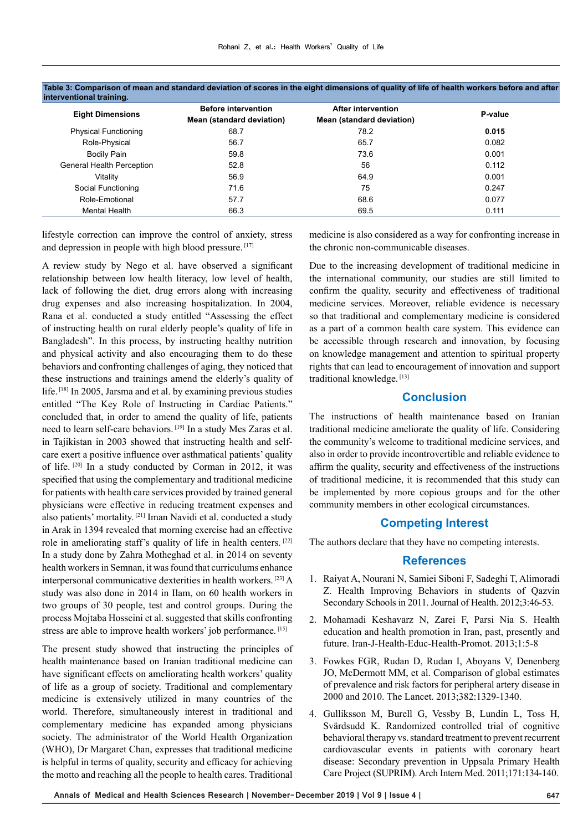| <b>Eight Dimensions</b>     | <b>Before intervention</b> | <b>After intervention</b> | P-value |  |
|-----------------------------|----------------------------|---------------------------|---------|--|
|                             | Mean (standard deviation)  | Mean (standard deviation) |         |  |
| <b>Physical Functioning</b> | 68.7                       | 78.2                      | 0.015   |  |
| Role-Physical               | 56.7                       | 65.7                      | 0.082   |  |
| <b>Bodily Pain</b>          | 59.8                       | 73.6                      | 0.001   |  |
| General Health Perception   | 52.8                       | 56                        | 0.112   |  |
| Vitality                    | 56.9                       | 64.9                      | 0.001   |  |
| Social Functioning          | 71.6                       | 75                        | 0.247   |  |
| Role-Emotional              | 57.7                       | 68.6                      | 0.077   |  |
| Mental Health               | 66.3                       | 69.5                      | 0.111   |  |
|                             |                            |                           |         |  |

#### **Table 3: Comparison of mean and standard deviation of scores in the eight dimensions of quality of life of health workers before and after interventional training.**

lifestyle correction can improve the control of anxiety, stress and depression in people with high blood pressure. [17]

A review study by Nego et al. have observed a significant relationship between low health literacy, low level of health, lack of following the diet, drug errors along with increasing drug expenses and also increasing hospitalization. In 2004, Rana et al. conducted a study entitled "Assessing the effect of instructing health on rural elderly people's quality of life in Bangladesh". In this process, by instructing healthy nutrition and physical activity and also encouraging them to do these behaviors and confronting challenges of aging, they noticed that these instructions and trainings amend the elderly's quality of life. [18] In 2005, Jarsma and et al. by examining previous studies entitled "The Key Role of Instructing in Cardiac Patients." concluded that, in order to amend the quality of life, patients need to learn self-care behaviors. [19] In a study Mes Zaras et al. in Tajikistan in 2003 showed that instructing health and selfcare exert a positive influence over asthmatical patients' quality of life. [20] In a study conducted by Corman in 2012, it was specified that using the complementary and traditional medicine for patients with health care services provided by trained general physicians were effective in reducing treatment expenses and also patients' mortality. [21] Iman Navidi et al. conducted a study in Arak in 1394 revealed that morning exercise had an effective role in ameliorating staff's quality of life in health centers. [22] In a study done by Zahra Motheghad et al. in 2014 on seventy health workers in Semnan, it was found that curriculums enhance interpersonal communicative dexterities in health workers. [23] A study was also done in 2014 in Ilam, on 60 health workers in two groups of 30 people, test and control groups. During the process Mojtaba Hosseini et al. suggested that skills confronting stress are able to improve health workers' job performance. [15]

The present study showed that instructing the principles of health maintenance based on Iranian traditional medicine can have significant effects on ameliorating health workers' quality of life as a group of society. Traditional and complementary medicine is extensively utilized in many countries of the world. Therefore, simultaneously interest in traditional and complementary medicine has expanded among physicians society. The administrator of the World Health Organization (WHO), Dr Margaret Chan, expresses that traditional medicine is helpful in terms of quality, security and efficacy for achieving the motto and reaching all the people to health cares. Traditional

medicine is also considered as a way for confronting increase in the chronic non-communicable diseases.

Due to the increasing development of traditional medicine in the international community, our studies are still limited to confirm the quality, security and effectiveness of traditional medicine services. Moreover, reliable evidence is necessary so that traditional and complementary medicine is considered as a part of a common health care system. This evidence can be accessible through research and innovation, by focusing on knowledge management and attention to spiritual property rights that can lead to encouragement of innovation and support traditional knowledge. [13]

# **Conclusion**

The instructions of health maintenance based on Iranian traditional medicine ameliorate the quality of life. Considering the community's welcome to traditional medicine services, and also in order to provide incontrovertible and reliable evidence to affirm the quality, security and effectiveness of the instructions of traditional medicine, it is recommended that this study can be implemented by more copious groups and for the other community members in other ecological circumstances.

# **Competing Interest**

The authors declare that they have no competing interests.

## **References**

- 1. Raiyat A, Nourani N, Samiei Siboni F, Sadeghi T, Alimoradi Z. Health Improving Behaviors in students of Qazvin Secondary Schools in 2011. Journal of Health. 2012;3:46-53.
- 2. Mohamadi Keshavarz N, Zarei F, Parsi Nia S. Health education and health promotion in Iran, past, presently and future. Iran-J-Health-Educ-Health-Promot. 2013;1:5-8
- 3. Fowkes FGR, Rudan D, Rudan I, Aboyans V, Denenberg JO, McDermott MM, et al. Comparison of global estimates of prevalence and risk factors for peripheral artery disease in 2000 and 2010. The Lancet. 2013;382:1329-1340.
- 4. Gulliksson M, Burell G, Vessby B, Lundin L, Toss H, Svärdsudd K. Randomized controlled trial of cognitive behavioral therapy vs. standard treatment to prevent recurrent cardiovascular events in patients with coronary heart disease: Secondary prevention in Uppsala Primary Health Care Project (SUPRIM). Arch Intern Med. 2011;171:134-140.